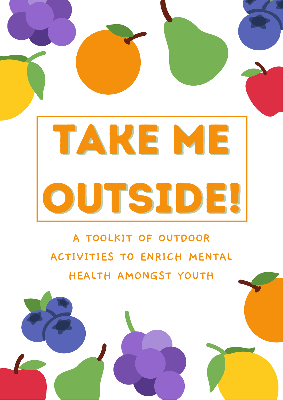

**A TOOLKIT OF OUTDOOR ACTIVITIES TO ENRICH MENTAL HEALTH AMONGST YOUTH**

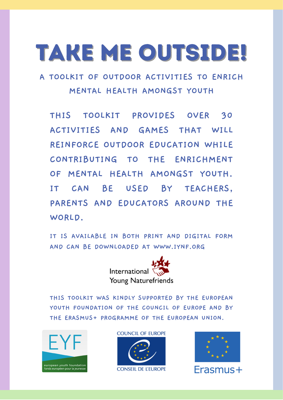### take me outside!

**A TOOLKIT OF OUTDOOR ACTIVITIES TO ENRICH MENTAL HEALTH AMONGST YOUTH**

**THIS TOOLKIT PROVIDES OVER 30 ACTIVITIES AND GAMES THAT WILL REINFORCE OUTDOOR EDUCATION WHILE CONTRIBUTING TO THE ENRICHMENT OF MENTAL HEALTH AMONGST YOUTH. IT CAN BE USED BY TEACHERS, PARENTS AND EDUCATORS AROUND THE WORLD.**

**IT IS AVAILABLE IN BOTH PRINT AND DIGITAL FORM AND CAN BE DOWNLOADED AT WWW.IYNF.ORG**



**THIS TOOLKIT WAS KINDLY SUPPORTED BY THE EUROPEAN YOUTH FOUNDATION OF THE COUNCIL OF EUROPE AND BY THE ERASMUS+ PROGRAMME OF THE EUROPEAN UNION.**



**COUNCIL OF EUROPE** 





Erasmus+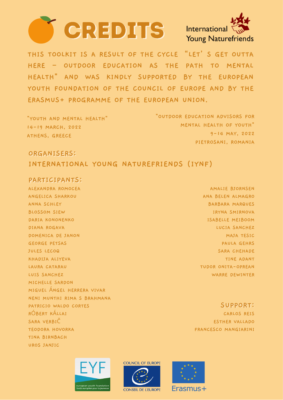



THIS TOOLKIT IS A RESULT OF THE CYCLE "LET' S GET OUTTA HERE - OUTDOOR EDUCATION AS THE PATH TO MENTAL HEALTH" AND WAS KINDLY SUPPORTED BY THE EUROPEAN YOUTH FOUNDATION OF THE COUNCIL OF EUROPE AND BY THE ERASMUS+ PROGRAMME OF THE EUROPEAN UNION.

| "YOUTH AND MENTAL HEALTH" | "OUTDOOR EDUCATION ADVISORS FOR |
|---------------------------|---------------------------------|
| 14-19 MARCH, 2022         | MENTAL HEALTH OF YOUTH"         |
| ATHENS, GREECE            | $9 - 14$ MAY, 2022              |
|                           | PIETROSANI, ROMANIA             |

ORGANISERS: INTERNATIONAL YOUNG NATUREFRIENDS (IYNF)

#### PARTICIPANTS:

ALEXANDRA ROMOCEA ANGELICA SHARKOU ANNA SCHLEY **BLOSSOM SIEW** DARIA KONONENKO DIANA ROGAVA DOMENICA DE JANON **GEORGE PETSAS** JULES LECOQ KHADIJA ALIYEVA LAURA CATARAU LUIS SANCHEZ MICHELLE SARDON MIGUEL ANGEL HERRERA VIVAR NENI MUNTHI RIMA S BRAHMANA PATRICIO WALDO CORTES RÓBERT KÁLLAI SARA VERBIC **TEODORA HOVORKA** TINA BIRNBACH UROS JANJIC

AMALIE BJORNSEN ANA BELEN ALMAGRO **BARBARA MARQUES** IRYNA SMIRNOVA ISABELLE MEIBOOM LUCIA SANCHEZ MAJA TESIC PAULA GEHRS **SARA CHEHADE TINE ADANT** TUDOR ONITA-OPREAN WARRE DEWINTER

**SUPPORT:** CARLOS REIS **ESTHER VALLADO** FRANCESCO MANGIARINI





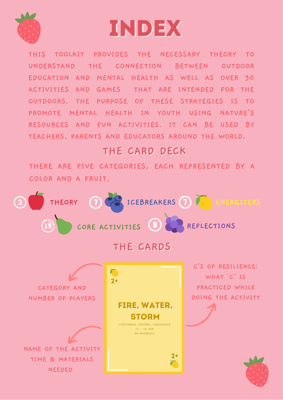

### index

**THIS TOOLKIT PROVIDES THE NECESSARY THEORY TO UNDERSTAND THE CONNECTION BETWEEN OUTDOOR EDUCATION AND MENTAL HEALTH AS WELL AS OVER 30 ACTIVITIES AND GAMES THAT ARE INTENDED FOR THE OUTDOORS. THE PURPOSE OF THESE STRATEGIES IS TO PROMOTE MENTAL HEALTH IN YOUTH USING NATURE'S RESOURCES AND FUN ACTIVITIES. IT CAN BE USED BY TEACHERS, PARENTS AND EDUCATORS AROUND THE WORLD.**

### **THE CARD DECK**

**THERE ARE FIVE CATEGORIES, EACH REPRESENTED BY A COLOR AND A FRUIT.**

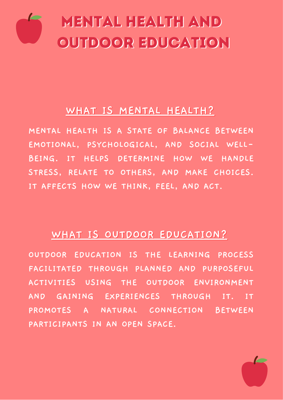

#### **WHAT IS MENTAL HEALTH?**

**MENTAL HEALTH IS A STATE OF BALANCE BETWEEN EMOTIONAL, PSYCHOLOGICAL, AND SOCIAL WELL-BEING. IT HELPS DETERMINE HOW WE HANDLE STRESS, RELATE TO OTHERS, AND MAKE CHOICES. IT AFFECTS HOW WE THINK, FEEL, AND ACT.**

#### **WHAT IS OUTDOOR EDUCATION?**

**OUTDOOR EDUCATION IS THE LEARNING PROCESS FACILITATED THROUGH PLANNED AND PURPOSEFUL ACTIVITIES USING THE OUTDOOR ENVIRONMENT AND GAINING EXPERIENCES THROUGH IT. IT PROMOTES A NATURAL CONNECTION BETWEEN PARTICIPANTS IN AN OPEN SPACE.**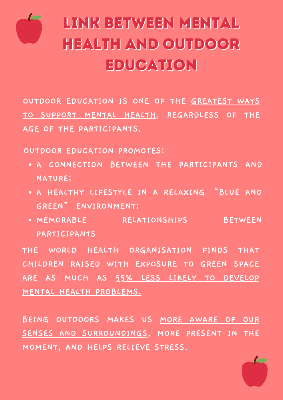

### LINK BETWEEN MENTAL HEALTH AND OUTDOOR EDUCATION

**OUTDOOR EDUCATION IS ONE OF THE GREATEST WAYS TO SUPPORT MENTAL HEALTH, REGARDLESS OF THE AGE OF THE PARTICIPANTS.**

**OUTDOOR EDUCATION PROMOTES:**

- **A CONNECTION BETWEEN THE PARTICIPANTS AND NATURE;**
- **A HEALTHY LIFESTYLE IN A RELAXING "BLUE AND GREEN" ENVIRONMENT;**
- **MEMORABLE RELATIONSHIPS BETWEEN PARTICIPANTS**

**THE WORLD HEALTH ORGANISATION FINDS THAT CHILDREN RAISED WITH EXPOSURE TO GREEN SPACE ARE AS MUCH AS 55% LESS LIKELY TO DEVELOP MENTAL HEALTH PROBLEMS.**

**BEING OUTDOORS MAKES US MORE AWARE OF OUR SENSES AND SURROUNDINGS, MORE PRESENT IN THE MOMENT, AND HELPS RELIEVE STRESS.**

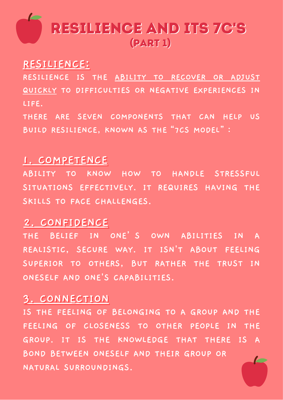

#### RESILIENCE:

**RESILIENCE IS THE ABILITY TO RECOVER OR ADJUST QUICKLY TO DIFFICULTIES OR NEGATIVE EXPERIENCES IN LIFE. THERE ARE SEVEN COMPONENTS THAT CAN HELP US**

**BUILD RESILIENCE, KNOWN AS THE"7CS MODEL":**

#### **1. COMPETENCE**

**ABILITY TO KNOW HOW TO HANDLE STRESSFUL SITUATIONS EFFECTIVELY. IT REQUIRES HAVING THE SKILLS TO FACE CHALLENGES.**

#### **2. CONFIDENCE**

**THE BELIEF IN ONE'S OWN ABILITIES IN A REALISTIC, SECURE WAY. IT ISN'T ABOUT FEELING SUPERIOR TO OTHERS, BUT RATHER THE TRUST IN ONESELF AND ONE'S CAPABILITIES.**

#### **3. CONNECTION**

**IS THE FEELING OF BELONGING TO A GROUP AND THE FEELING OF CLOSENESS TO OTHER PEOPLE IN THE GROUP. IT IS THE KNOWLEDGE THAT THERE IS A BOND BETWEEN ONESELF AND THEIR GROUP OR NATURAL SURROUNDINGS.**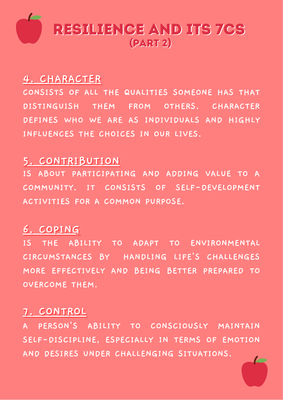

#### **4. CHARACTER**

**CONSISTS OF ALL THE QUALITIES SOMEONE HAS THAT DISTINGUISH THEM FROM OTHERS. CHARACTER DEFINES WHO WE ARE AS INDIVIDUALS AND HIGHLY INFLUENCES THE CHOICES IN OUR LIVES.**

#### **5. CONTRIBUTION**

**IS ABOUT PARTICIPATING AND ADDING VALUE TO A COMMUNITY. IT CONSISTS OF SELF-DEVELOPMENT ACTIVITIES FOR A COMMON PURPOSE.**

#### 6. COPING

**IS THE ABILITY TO ADAPT TO ENVIRONMENTAL CIRCUMSTANCES BY HANDLING LIFE'S CHALLENGES MORE EFFECTIVELY AND BEING BETTER PREPARED TO OVERCOME THEM.**

#### **7. CONTROL**

**A PERSON'S ABILITY TO CONSCIOUSLY MAINTAIN SELF-DISCIPLINE, ESPECIALLY IN TERMS OF EMOTION AND DESIRES UNDER CHALLENGING SITUATIONS.**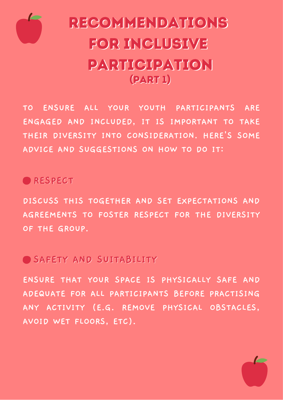

### **RECOMMENDATIONS** for Inclusive participation (part 1)

**TO ENSURE ALL YOUR YOUTH PARTICIPANTS ARE ENGAGED AND INCLUDED, IT IS IMPORTANT TO TAKE THEIR DIVERSITY INTO CONSIDERATION. HERE'S SOME ADVICE AND SUGGESTIONS ON HOW TO DO IT:**

### **RESPECT**

**DISCUSS THIS TOGETHER AND SET EXPECTATIONS AND AGREEMENTS TO FOSTER RESPECT FOR THE DIVERSITY OF THE GROUP.**

### **SAFETY AND SUITABILITY**

**ENSURE THAT YOUR SPACE IS PHYSICALLY SAFE AND ADEQUATE FOR ALL PARTICIPANTS BEFORE PRACTISING ANY ACTIVITY (E.G. REMOVE PHYSICAL OBSTACLES, AVOID WET FLOORS, ETC).**

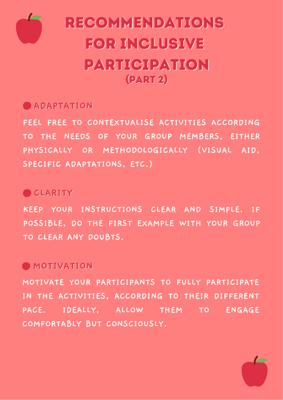

### Recommendations for Inclusive participation (part 2)

### **ADAPTATION**

**FEEL FREE TO CONTEXTUALISE ACTIVITIES ACCORDING TO THE NEEDS OF YOUR GROUP MEMBERS, EITHER PHYSICALLY OR METHODOLOGICALLY (VISUAL AID, SPECIFIC ADAPTATIONS, ETC.)**

### **CLARITY**

**KEEP YOUR INSTRUCTIONS CLEAR AND SIMPLE. IF POSSIBLE, DO THE FIRST EXAMPLE WITH YOUR GROUP TO CLEAR ANY DOUBTS.**

### **MOTIVATION**

**MOTIVATE YOUR PARTICIPANTS TO FULLY PARTICIPATE IN THE ACTIVITIES, ACCORDING TO THEIR DIFFERENT PACE. IDEALLY, ALLOW THEM TO ENGAGE COMFORTABLY BUT CONSCIOUSLY.**

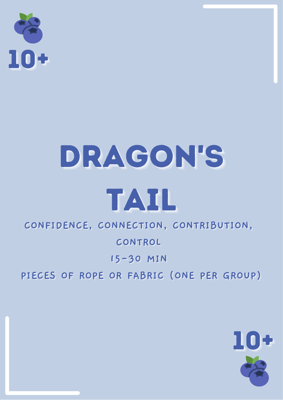

# DRAGON'S

### TAIL

### CONFIDENCE, CONNECTION, CONTRIBUTION,

### CONTROL

### 15-30 MIN

### PIECES OF ROPE OR FABRIC (ONE PER GROUP)

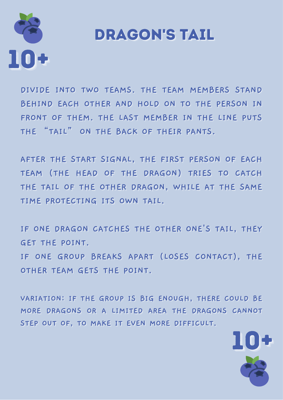

### **DRAGON'S TAIL**

DIVIDE INTO TWO TEAMS. THE TEAM MEMBERS STAND BEHIND EACH OTHER AND HOLD ON TO THE PERSON IN FRONT OF THEM. THE LAST MEMBER IN THE LINE PUTS THE "TAIL" ON THE BACK OF THEIR PANTS.

AFTER THE START SIGNAL, THE FIRST PERSON OF EACH TEAM (THE HEAD OF THE DRAGON) TRIES TO CATCH THE TAIL OF THE OTHER DRAGON, WHILE AT THE SAME TIME PROTECTING ITS OWN TAIL.

IF ONE DRAGON CATCHES THE OTHER ONE'S TAIL, THEY GET THE POINT. IF ONE GROUP BREAKS APART (LOSES CONTACT), THE OTHER TEAM GETS THE POINT.

VARIATION: IF THE GROUP IS BIG ENOUGH, THERE COULD BE MORE DRAGONS OR A LIMITED AREA THE DRAGONS CANNOT STEP OUT OF, TO MAKE IT EVEN MORE DIFFICULT.

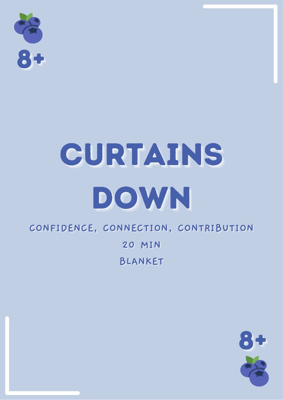

# CURTAINS DOWN

### CONFIDENCE, CONNECTION, CONTRIBUTION

**20 MIN** 

**BLANKET** 

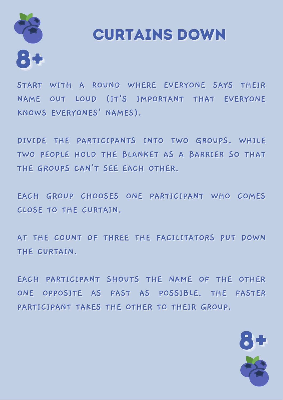

### **CURTAINS DOWN**

START WITH A ROUND WHERE EVERYONE SAYS THEIR NAME OUT LOUD (IT'S IMPORTANT THAT EVERYONE KNOWS EVERYONES' NAMES).

DIVIDE THE PARTICIPANTS INTO TWO GROUPS, WHILE TWO PEOPLE HOLD THE BLANKET AS A BARRIER SO THAT THE GROUPS CAN'T SEE EACH OTHER.

EACH GROUP CHOOSES ONE PARTICIPANT WHO COMES **CLOSE TO THE CURTAIN.** 

AT THE COUNT OF THREE THE FACILITATORS PUT DOWN THE CURTAIN.

EACH PARTICIPANT SHOUTS THE NAME OF THE OTHER ONE OPPOSITE AS FAST AS POSSIBLE. THE FASTER PARTICIPANT TAKES THE OTHER TO THEIR GROUP.

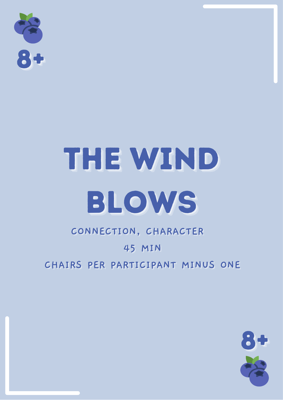

## THE WIND BLOWS

### CONNECTION, CHARACTER **45 MIN** CHAIRS PER PARTICIPANT MINUS ONE

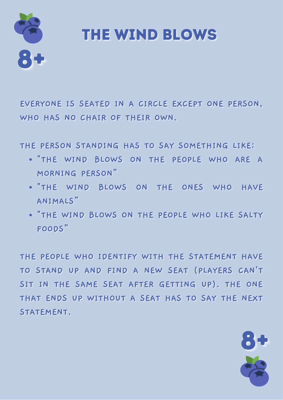

### THE WIND BLOWS

EVERYONE IS SEATED IN A CIRCLE EXCEPT ONE PERSON. WHO HAS NO CHAIR OF THEIR OWN.

THE PERSON STANDING HAS TO SAY SOMETHING LIKE:

- . "THE WIND BLOWS ON THE PEOPLE WHO ARE A MORNING PERSON"
- . "THE WIND BLOWS ON THE ONES WHO HAVE ANIMALS"
- . "THE WIND BLOWS ON THE PEOPLE WHO LIKE SALTY FOODS"

THE PEOPLE WHO IDENTIFY WITH THE STATEMENT HAVE TO STAND UP AND FIND A NEW SEAT (PLAYERS CAN'T SIT IN THE SAME SEAT AFTER GETTING UP). THE ONE THAT ENDS UP WITHOUT A SEAT HAS TO SAY THE NEXT STATEMENT.

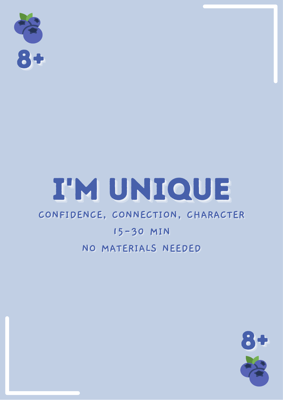

### I'M UNIQUE

### CONFIDENCE, CONNECTION, CHARACTER

### 15-30 MIN NO MATERIALS NEEDED

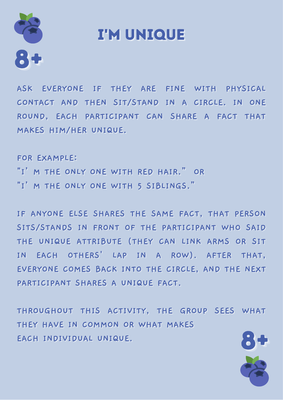

### **I'M UNIOUE**

ASK EVERYONE IF THEY ARE FINE WITH PHYSICAL CONTACT AND THEN SIT/STAND IN A CIRCLE. IN ONE ROUND, EACH PARTICIPANT CAN SHARE A FACT THAT MAKES HIM/HER UNIQUE.

**FOR EXAMPLE:** "I' M THE ONLY ONE WITH RED HAIR." OR "I' M THE ONLY ONE WITH 5 SIBLINGS."

IF ANYONE ELSE SHARES THE SAME FACT, THAT PERSON SITS/STANDS IN FRONT OF THE PARTICIPANT WHO SAID THE UNIQUE ATTRIBUTE (THEY CAN LINK ARMS OR SIT IN EACH OTHERS' LAP IN A ROW). AFTER THAT, EVERYONE COMES BACK INTO THE CIRCLE, AND THE NEXT PARTICIPANT SHARES A UNIQUE FACT.

THROUGHOUT THIS ACTIVITY, THE GROUP SEES WHAT THEY HAVE IN COMMON OR WHAT MAKES EACH INDIVIDUAL UNIQUE.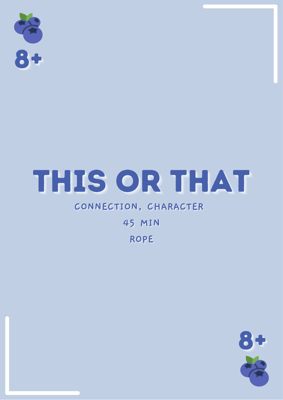

### THIS OR THAT

### CONNECTION, CHARACTER

### **45 MIN ROPE**

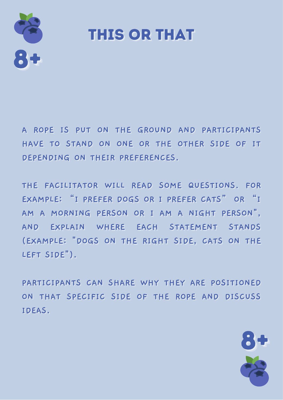

**THIS OR THAT** 

A ROPE IS PUT ON THE GROUND AND PARTICIPANTS HAVE TO STAND ON ONE OR THE OTHER SIDE OF IT DEPENDING ON THEIR PREFERENCES.

THE FACILITATOR WILL READ SOME QUESTIONS. FOR EXAMPLE: "I PREFER DOGS OR I PREFER CATS" OR "I AM A MORNING PERSON OR I AM A NIGHT PERSON", AND EXPLAIN WHERE EACH STATEMENT STANDS (EXAMPLE: "DOGS ON THE RIGHT SIDE, CATS ON THE LEFT SIDE").

PARTICIPANTS CAN SHARE WHY THEY ARE POSITIONED ON THAT SPECIFIC SIDE OF THE ROPE AND DISCUSS **IDEAS.** 

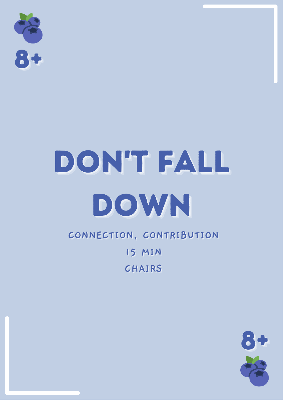

## DON'T FALL DOWN

### CONNECTION, CONTRIBUTION **15 MIN** CHAIRS

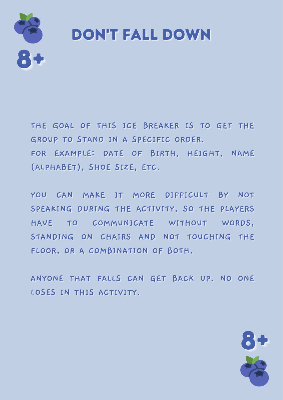

### **DON'T FALL DOWN**

THE GOAL OF THIS ICE BREAKER IS TO GET THE GROUP TO STAND IN A SPECIFIC ORDER. FOR EXAMPLE: DATE OF BIRTH, HEIGHT, NAME (ALPHABET), SHOE SIZE, ETC.

YOU CAN MAKE IT MORE DIFFICULT BY NOT SPEAKING DURING THE ACTIVITY, SO THE PLAYERS HAVE TO COMMUNICATE WITHOUT WORDS. STANDING ON CHAIRS AND NOT TOUCHING THE FLOOR, OR A COMBINATION OF BOTH.

ANYONE THAT FALLS CAN GET BACK UP. NO ONE LOSES IN THIS ACTIVITY.

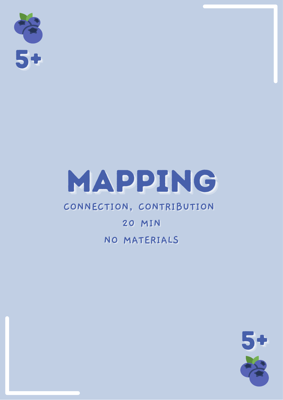

### MAPPING

### CONNECTION, CONTRIBUTION

### **20 MIN** NO MATERIALS

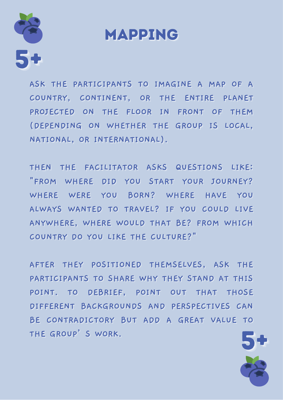

### **MAPPING**

ASK THE PARTICIPANTS TO IMAGINE A MAP OF A COUNTRY, CONTINENT, OR THE ENTIRE PLANET PROJECTED ON THE FLOOR IN FRONT OF THEM (DEPENDING ON WHETHER THE GROUP IS LOCAL, NATIONAL, OR INTERNATIONAL).

THEN THE FACILITATOR ASKS QUESTIONS LIKE: "FROM WHERE DID YOU START YOUR JOURNEY? WHERE WERE YOU BORN? WHERE HAVE YOU ALWAYS WANTED TO TRAVEL? IF YOU COULD LIVE ANYWHERE, WHERE WOULD THAT BE? FROM WHICH COUNTRY DO YOU LIKE THE CULTURE?"

AFTER THEY POSITIONED THEMSELVES, ASK THE PARTICIPANTS TO SHARE WHY THEY STAND AT THIS POINT. TO DEBRIEF, POINT OUT THAT THOSE DIFFERENT BACKGROUNDS AND PERSPECTIVES CAN BE CONTRADICTORY BUT ADD A GREAT VALUE TO THE GROUP' S WORK.

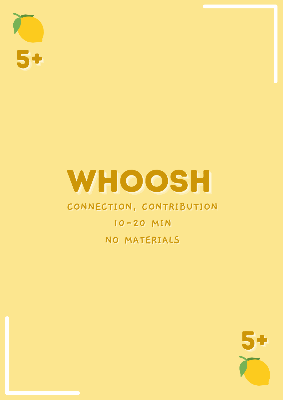### WHOOSH

### CONNECTION, CONTRIBUTION

### 10-20 MIN NO MATERIALS

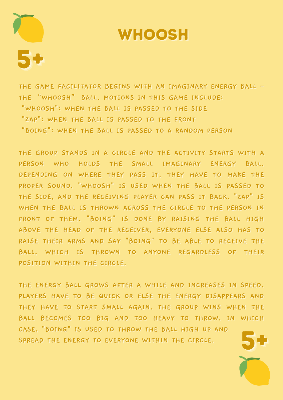

### **WHOOSH**

THE GAME FACILITATOR BEGINS WITH AN IMAGINARY ENERGY BALL -THE "WHOOSH" BALL. MOTIONS IN THIS GAME INCLUDE: "WHOOSH": WHEN THE BALL IS PASSED TO THE SIDE "ZAP": WHEN THE BALL IS PASSED TO THE FRONT "BOING": WHEN THE BALL IS PASSED TO A RANDOM PERSON

THE GROUP STANDS IN A CIRCLE AND THE ACTIVITY STARTS WITH A PERSON WHO HOLDS THE SMALL IMAGINARY ENERGY BALL. DEPENDING ON WHERE THEY PASS IT, THEY HAVE TO MAKE THE PROPER SOUND. "WHOOSH" IS USED WHEN THE BALL IS PASSED TO THE SIDE, AND THE RECEIVING PLAYER CAN PASS IT BACK. "ZAP" IS WHEN THE BALL IS THROWN ACROSS THE CIRCLE TO THE PERSON IN FRONT OF THEM. "BOING" IS DONE BY RAISING THE BALL HIGH ABOVE THE HEAD OF THE RECEIVER, EVERYONE ELSE ALSO HAS TO RAISE THEIR ARMS AND SAY "BOING" TO BE ABLE TO RECEIVE THE BALL, WHICH IS THROWN TO ANYONE REGARDLESS OF THEIR POSITION WITHIN THE CIRCLE.

THE ENERGY BALL GROWS AFTER A WHILE AND INCREASES IN SPEED. PLAYERS HAVE TO BE QUICK OR ELSE THE ENERGY DISAPPEARS AND THEY HAVE TO START SMALL AGAIN. THE GROUP WINS WHEN THE BALL BECOMES TOO BIG AND TOO HEAVY TO THROW. IN WHICH CASE, "BOING" IS USED TO THROW THE BALL HIGH UP AND SPREAD THE ENERGY TO EVERYONE WITHIN THE CIRCLE.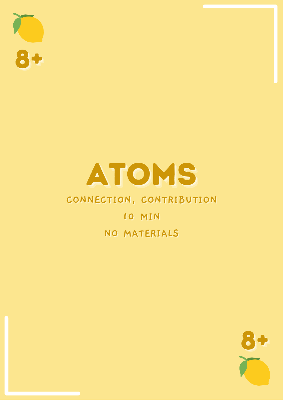

### ATOMS

### CONNECTION, CONTRIBUTION

### 10 MIN NO MATERIALS

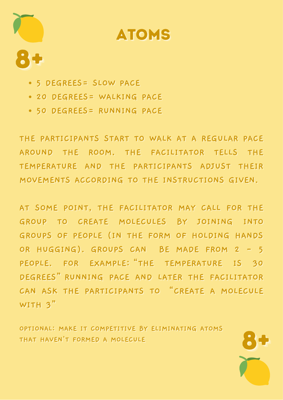

### **ATOMS**

- · 5 DEGREES = SLOW PACE
- . 20 DEGREES= WALKING PACE
- . 50 DEGREES = RUNNING PACE

THE PARTICIPANTS START TO WALK AT A REGULAR PACE AROUND THE ROOM. THE FACILITATOR TELLS THE TEMPERATURE AND THE PARTICIPANTS ADJUST THEIR MOVEMENTS ACCORDING TO THE INSTRUCTIONS GIVEN.

AT SOME POINT, THE FACILITATOR MAY CALL FOR THE GROUP TO CREATE MOLECULES BY JOINING INTO GROUPS OF PEOPLE (IN THE FORM OF HOLDING HANDS OR HUGGING). GROUPS CAN BE MADE FROM 2 - 5 PEOPLE. FOR EXAMPLE: "THE TEMPERATURE IS 30 DEGREES" RUNNING PACE AND LATER THE FACILITATOR CAN ASK THE PARTICIPANTS TO "CREATE A MOLECULE WITH  $3''$ 

OPTIONAL: MAKE IT COMPETITIVE BY ELIMINATING ATOMS THAT HAVEN'T FORMED A MOLECULE

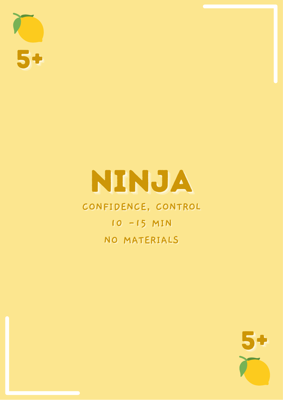

### NINJA

### CONFIDENCE, CONTROL

10 - 15 MIN NO MATERIALS

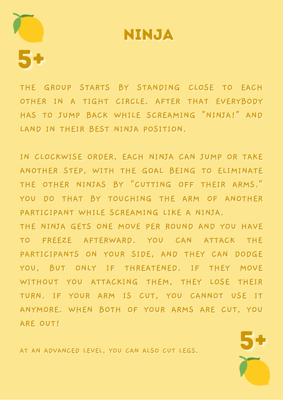

### NINJA

THE GROUP STARTS BY STANDING CLOSE TO EACH OTHER IN A TIGHT CIRCLE. AFTER THAT EVERYBODY HAS TO JUMP BACK WHILE SCREAMING "NINJA!" AND LAND IN THEIR BEST NINJA POSITION.

IN CLOCKWISE ORDER, EACH NINJA CAN JUMP OR TAKE ANOTHER STEP. WITH THE GOAL BEING TO ELIMINATE THE OTHER NINJAS BY "CUTTING OFF THEIR ARMS." YOU DO THAT BY TOUCHING THE ARM OF ANOTHER PARTICIPANT WHILE SCREAMING LIKE A NINJA.

THE NINJA GETS ONE MOVE PER ROUND AND YOU HAVE TO FREEZE AFTERWARD. YOU CAN ATTACK THE PARTICIPANTS ON YOUR SIDE, AND THEY CAN DODGE YOU, BUT ONLY IF THREATENED. IF THEY MOVE WITHOUT YOU ATTACKING THEM, THEY LOSE THEIR TURN. IF YOUR ARM IS CUT, YOU CANNOT USE IT ANYMORE. WHEN BOTH OF YOUR ARMS ARE CUT. YOU ARE OUT!

AT AN ADVANCED LEVEL. YOU CAN ALSO CUT LEGS.

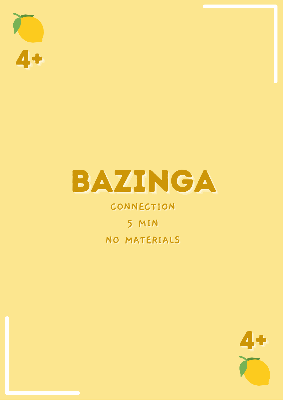



### CONNECTION

5 MIN NO MATERIALS

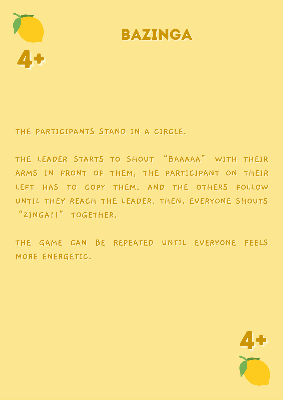



THE PARTICIPANTS STAND IN A CIRCLE.

THE LEADER STARTS TO SHOUT "BAAAAA" WITH THEIR ARMS IN FRONT OF THEM. THE PARTICIPANT ON THEIR LEFT HAS TO COPY THEM, AND THE OTHERS FOLLOW UNTIL THEY REACH THE LEADER. THEN, EVERYONE SHOUTS "ZINGA!!" TOGETHER.

THE GAME CAN BE REPEATED UNTIL EVERYONE FEELS MORE ENERGETIC.

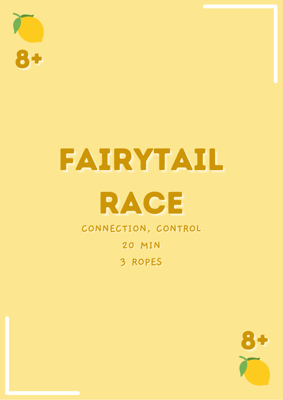

### FAIRYTAIL

### RACE

CONNECTION, CONTROL

**20 MIN** 

3 ROPES

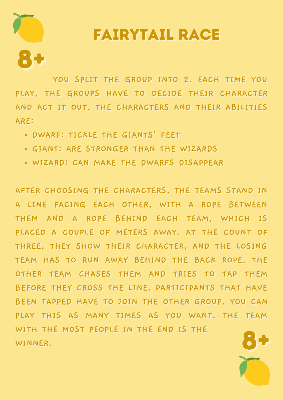# **FAIRYTAIL RACE**

YOU SPLIT THE GROUP INTO 2. EACH TIME YOU PLAY, THE GROUPS HAVE TO DECIDE THEIR CHARACTER AND ACT IT OUT. THE CHARACTERS AND THEIR ABILITIES ARE:

- . DWARF: TICKLE THE GIANTS' FEET
- . GIANT: ARE STRONGER THAN THE WIZARDS
- . WIZARD: CAN MAKE THE DWARFS DISAPPEAR

AFTER CHOOSING THE CHARACTERS, THE TEAMS STAND IN A LINE FACING EACH OTHER, WITH A ROPE BETWEEN THEM AND A ROPE BEHIND EACH TEAM, WHICH IS PLACED A COUPLE OF METERS AWAY. AT THE COUNT OF THREE, THEY SHOW THEIR CHARACTER, AND THE LOSING TEAM HAS TO RUN AWAY BEHIND THE BACK ROPE. THE OTHER TEAM CHASES THEM AND TRIES TO TAP THEM BEFORE THEY CROSS THE LINE. PARTICIPANTS THAT HAVE BEEN TAPPED HAVE TO JOIN THE OTHER GROUP. YOU CAN PLAY THIS AS MANY TIMES AS YOU WANT. THE TEAM WITH THE MOST PEOPLE IN THE END IS THE WINNER.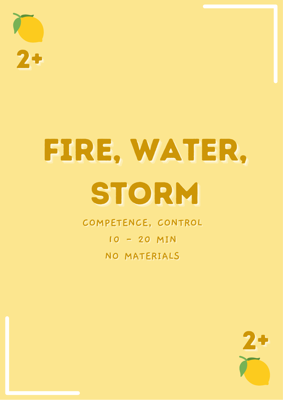# FIRE, WATER, STORM

COMPETENCE, CONTROL 10 - 20 MIN NO MATERIALS

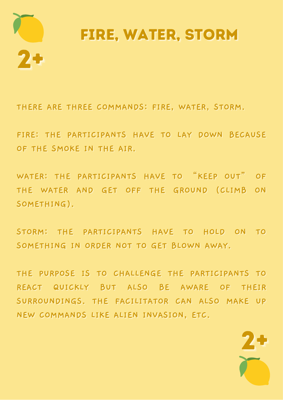

THERE ARE THREE COMMANDS: FIRE, WATER, STORM.

FIRE: THE PARTICIPANTS HAVE TO LAY DOWN BECAUSE OF THE SMOKE IN THE AIR.

WATER: THE PARTICIPANTS HAVE TO "KEEP OUT" OF THE WATER AND GET OFF THE GROUND (CLIMB ON SOMETHING).

STORM: THE PARTICIPANTS HAVE TO HOLD ON TO SOMETHING IN ORDER NOT TO GET BLOWN AWAY.

THE PURPOSE IS TO CHALLENGE THE PARTICIPANTS TO REACT QUICKLY BUT ALSO BE AWARE OF THEIR SURROUNDINGS. THE FACILITATOR CAN ALSO MAKE UP NEW COMMANDS LIKE ALIEN INVASION, ETC.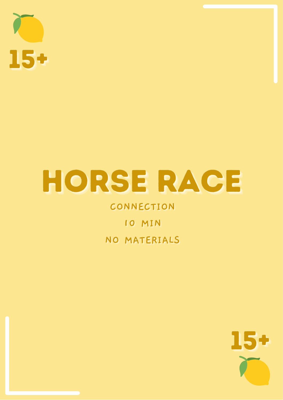

## HORSE RACE

### CONNECTION

### 10 MIN NO MATERIALS

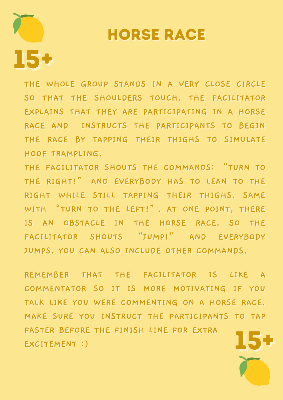### **HORSE RACE**

THE WHOLE GROUP STANDS IN A VERY CLOSE CIRCLE SO THAT THE SHOULDERS TOUCH. THE FACILITATOR EXPLAINS THAT THEY ARE PARTICIPATING IN A HORSE RACE AND INSTRUCTS THE PARTICIPANTS TO BEGIN THE RACE BY TAPPING THEIR THIGHS TO SIMULATE HOOF TRAMPLING.

15+

THE FACILITATOR SHOUTS THE COMMANDS: "TURN TO THE RIGHT!" AND EVERYBODY HAS TO LEAN TO THE RIGHT WHILE STILL TAPPING THEIR THIGHS. SAME WITH "TURN TO THE LEFT!". AT ONE POINT, THERE IS AN OBSTACLE IN THE HORSE RACE, SO THE FACILITATOR SHOUTS "JUMP!" AND EVERYBODY JUMPS. YOU CAN ALSO INCLUDE OTHER COMMANDS.

REMEMBER THAT THE FACILITATOR IS LIKE A COMMENTATOR SO IT IS MORE MOTIVATING IF YOU TALK LIKE YOU WERE COMMENTING ON A HORSE RACE. MAKE SURE YOU INSTRUCT THE PARTICIPANTS TO TAP FASTER BEFORE THE FINISH LINE FOR EXTRA EXCITEMENT :)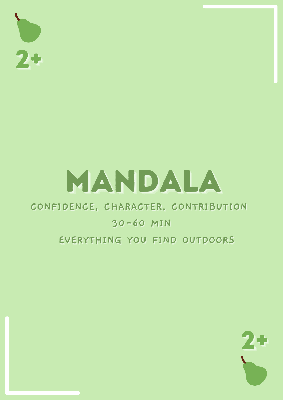$2+$ 

## MANDALA

### CONFIDENCE, CHARACTER, CONTRIBUTION

### 30-60 MIN

### EVERYTHING YOU FIND OUTDOORS

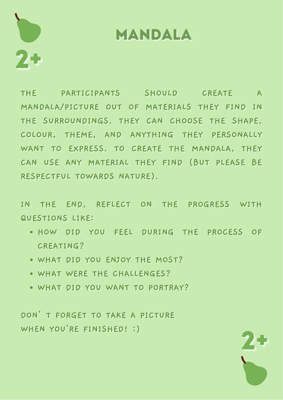

### MANDALA

THE PARTICIPANTS SHOULD CREATE A MANDALA/PICTURE OUT OF MATERIALS THEY FIND IN THE SURROUNDINGS. THEY CAN CHOOSE THE SHAPE. COLOUR, THEME, AND ANYTHING THEY PERSONALLY WANT TO EXPRESS. TO CREATE THE MANDALA, THEY CAN USE ANY MATERIAL THEY FIND (BUT PLEASE BE RESPECTFUL TOWARDS NATURE).

IN THE END, REFLECT ON THE PROGRESS WITH **QUESTIONS LIKE:** 

- . HOW DID YOU FEEL DURING THE PROCESS OF **CREATING?**
- . WHAT DID YOU ENJOY THE MOST?
- . WHAT WERE THE CHALLENGES?
- WHAT DID YOU WANT TO PORTRAY?

DON'T FORGET TO TAKE A PICTURE WHEN YOU'RE FINISHED! :)

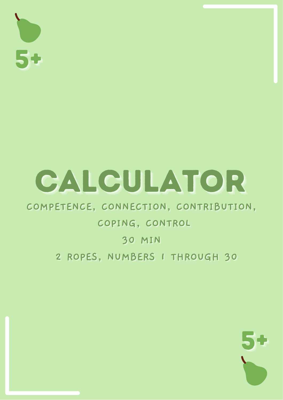50

## CALCULATOR

### COMPETENCE, CONNECTION, CONTRIBUTION,

### COPING, CONTROL

### **30 MIN**

### 2 ROPES, NUMBERS I THROUGH 30

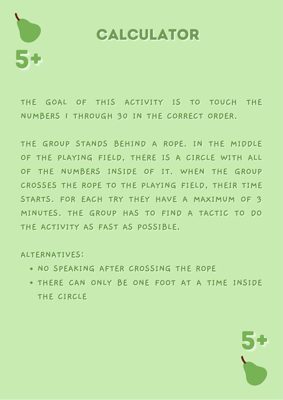

### CALCULATOR

THE GOAL OF THIS ACTIVITY IS TO TOUCH THE NUMBERS I THROUGH 30 IN THE CORRECT ORDER.

THE GROUP STANDS BEHIND A ROPE. IN THE MIDDLE OF THE PLAYING FIELD, THERE IS A CIRCLE WITH ALL OF THE NUMBERS INSIDE OF IT. WHEN THE GROUP CROSSES THE ROPE TO THE PLAYING FIELD, THEIR TIME STARTS. FOR EACH TRY THEY HAVE A MAXIMUM OF 3 MINUTES. THE GROUP HAS TO FIND A TACTIC TO DO THE ACTIVITY AS FAST AS POSSIBLE.

#### **ALTERNATIVES:**

- . NO SPEAKING AFTER CROSSING THE ROPE
- . THERE CAN ONLY BE ONE FOOT AT A TIME INSIDE THE CIRCLE

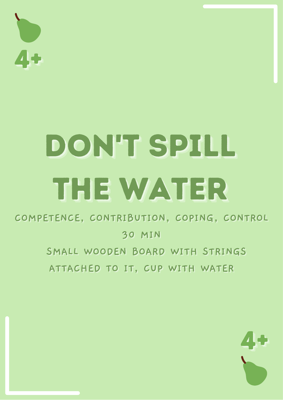

## DON'T SPILL THE WATER

COMPETENCE, CONTRIBUTION, COPING, CONTROL **30 MIN** SMALL WOODEN BOARD WITH STRINGS

ATTACHED TO IT, CUP WITH WATER

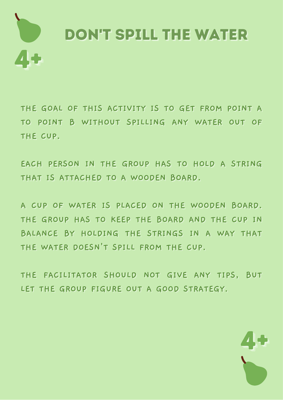

THE GOAL OF THIS ACTIVITY IS TO GET FROM POINT A TO POINT B WITHOUT SPILLING ANY WATER OUT OF THE CUP.

EACH PERSON IN THE GROUP HAS TO HOLD A STRING THAT IS ATTACHED TO A WOODEN BOARD.

A CUP OF WATER IS PLACED ON THE WOODEN BOARD. THE GROUP HAS TO KEEP THE BOARD AND THE CUP IN BALANCE BY HOLDING THE STRINGS IN A WAY THAT THE WATER DOESN'T SPILL FROM THE CUP.

THE FACILITATOR SHOULD NOT GIVE ANY TIPS, BUT LET THE GROUP FIGURE OUT A GOOD STRATEGY.

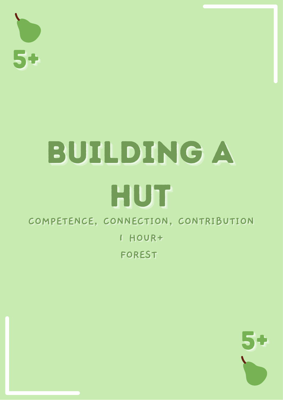

### BUILDING A HUT COMPETENCE, CONNECTION, CONTRIBUTION I HOUR+

FOREST

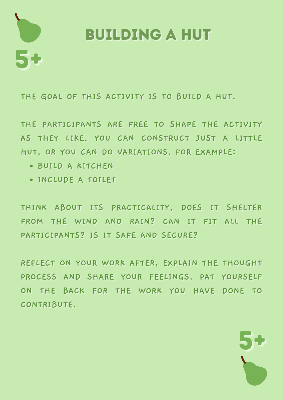

### **BUILDING A HUT**

THE GOAL OF THIS ACTIVITY IS TO BUILD A HUT.

THE PARTICIPANTS ARE FREE TO SHAPE THE ACTIVITY AS THEY LIKE. YOU CAN CONSTRUCT JUST A LITTLE HUT, OR YOU CAN DO VARIATIONS. FOR EXAMPLE:

- · BUILD A KITCHEN
- · INCLUDE A TOILET

THINK ABOUT ITS PRACTICALITY, DOES IT SHELTER FROM THE WIND AND RAIN? CAN IT FIT ALL THE PARTICIPANTS? IS IT SAFE AND SECURE?

REFLECT ON YOUR WORK AFTER, EXPLAIN THE THOUGHT PROCESS AND SHARE YOUR FEELINGS. PAT YOURSELF ON THE BACK FOR THE WORK YOU HAVE DONE TO CONTRIBUTE.

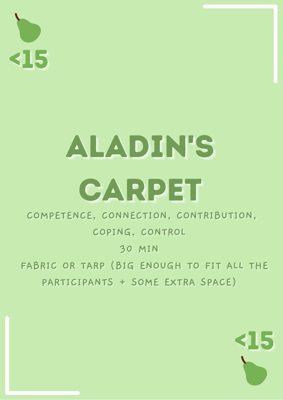

## ALADINES CARPET

COMPETENCE, CONNECTION, CONTRIBUTION,

COPING, CONTROL

**30 MIN** 

FABRIC OR TARP (BIG ENOUGH TO FIT ALL THE PARTICIPANTS + SOME EXTRA SPACE)

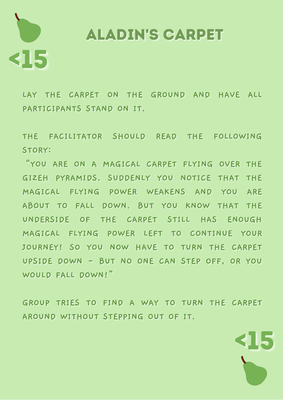# 315

**ALADIN'S CARPET** 

LAY THE CARPET ON THE GROUND AND HAVE ALL PARTICIPANTS STAND ON IT.

THE FACILITATOR SHOULD READ THE FOLLOWING STORY:

"YOU ARE ON A MAGICAL CARPET FLYING OVER THE GIZEH PYRAMIDS. SUDDENLY YOU NOTICE THAT THE MAGICAL FLYING POWER WEAKENS AND YOU ARE ABOUT TO FALL DOWN. BUT YOU KNOW THAT THE UNDERSIDE OF THE CARPET STILL HAS ENOUGH MAGICAL FLYING POWER LEFT TO CONTINUE YOUR JOURNEY! SO YOU NOW HAVE TO TURN THE CARPET UPSIDE DOWN - BUT NO ONE CAN STEP OFF, OR YOU WOULD FALL DOWN!"

GROUP TRIES TO FIND A WAY TO TURN THE CARPET AROUND WITHOUT STEPPING OUT OF IT.

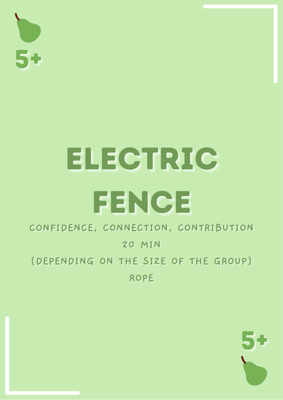

## **ELECTRIC** FENCE

### CONFIDENCE, CONNECTION, CONTRIBUTION

#### **20 MIN**

### (DEPENDING ON THE SIZE OF THE GROUP) **ROPE**

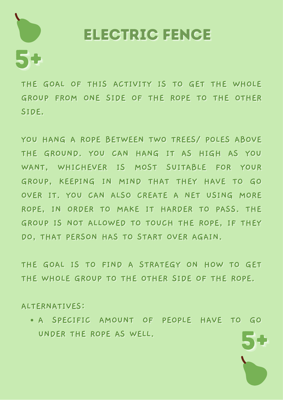

### **ELECTRIC FENCE**

THE GOAL OF THIS ACTIVITY IS TO GET THE WHOLE GROUP FROM ONE SIDE OF THE ROPE TO THE OTHER SIDE.

YOU HANG A ROPE BETWEEN TWO TREES/ POLES ABOVE THE GROUND. YOU CAN HANG IT AS HIGH AS YOU WANT, WHICHEVER IS MOST SUITABLE FOR YOUR GROUP, KEEPING IN MIND THAT THEY HAVE TO GO OVER IT. YOU CAN ALSO CREATE A NET USING MORE ROPE, IN ORDER TO MAKE IT HARDER TO PASS. THE GROUP IS NOT ALLOWED TO TOUCH THE ROPE, IF THEY DO. THAT PERSON HAS TO START OVER AGAIN.

THE GOAL IS TO FIND A STRATEGY ON HOW TO GET THE WHOLE GROUP TO THE OTHER SIDE OF THE ROPE.

**ALTERNATIVES:** 

• A SPECIFIC AMOUNT OF PEOPLE HAVE TO GO UNDER THE ROPE AS WELL.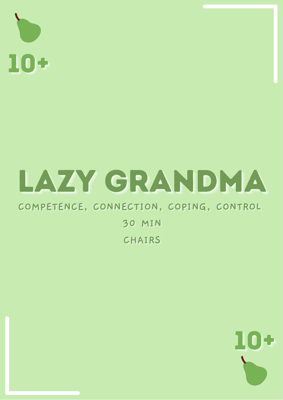

## LAZY GRANDMA

### COMPETENCE, CONNECTION, COPING, CONTROL

**30 MIN** CHAIRS

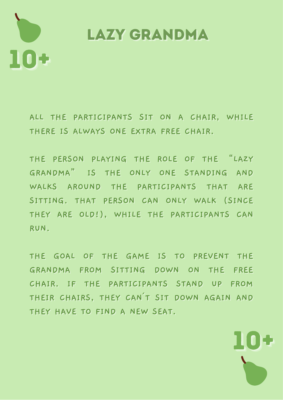

**LAZY GRANDMA** 

ALL THE PARTICIPANTS SIT ON A CHAIR, WHILE THERE IS ALWAYS ONE EXTRA FREE CHAIR.

THE PERSON PLAYING THE ROLE OF THE "LAZY GRANDMA" IS THE ONLY ONE STANDING AND WALKS AROUND THE PARTICIPANTS THAT ARE SITTING. THAT PERSON CAN ONLY WALK (SINCE THEY ARE OLD!), WHILE THE PARTICIPANTS CAN RUN.

THE GOAL OF THE GAME IS TO PREVENT THE GRANDMA FROM SITTING DOWN ON THE FREE CHAIR. IF THE PARTICIPANTS STAND UP FROM THEIR CHAIRS, THEY CAN'T SIT DOWN AGAIN AND THEY HAVE TO FIND A NEW SEAT.

ПОС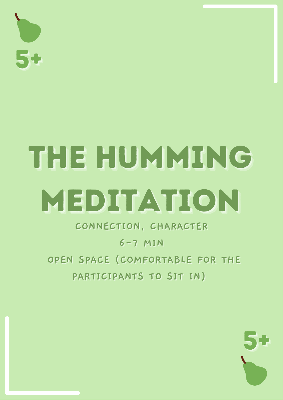

## THE HUMMINIG MEDITATION

CONNECTION, CHARACTER

 $6 - 7$  MIN

OPEN SPACE (COMFORTABLE FOR THE PARTICIPANTS TO SIT IN)

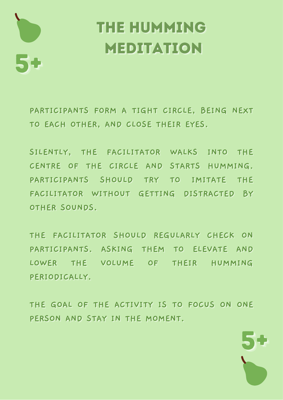

### THE HUMMING **MEDITATION**

PARTICIPANTS FORM A TIGHT CIRCLE, BEING NEXT TO EACH OTHER, AND CLOSE THEIR EYES.

SILENTLY, THE FACILITATOR WALKS INTO THE CENTRE OF THE CIRCLE AND STARTS HUMMING. PARTICIPANTS SHOULD TRY TO IMITATE THE FACILITATOR WITHOUT GETTING DISTRACTED BY OTHER SOUNDS.

THE FACILITATOR SHOULD REGULARLY CHECK ON PARTICIPANTS. ASKING THEM TO ELEVATE AND LOWER THE VOLUME OF THEIR HUMMING PERIODICALLY.

THE GOAL OF THE ACTIVITY IS TO FOCUS ON ONE PERSON AND STAY IN THE MOMENT.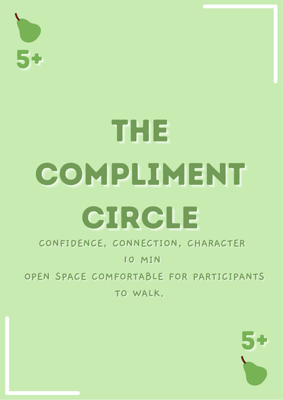

## THE COMPLIMENT CIRCLE

### CONFIDENCE, CONNECTION, CHARACTER

#### 10 MIN

OPEN SPACE COMFORTABLE FOR PARTICIPANTS TO WALK.

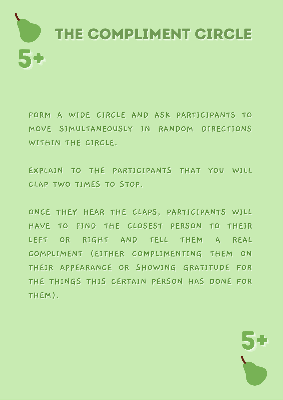

FORM A WIDE CIRCLE AND ASK PARTICIPANTS TO MOVE SIMULTANEOUSLY IN RANDOM DIRECTIONS WITHIN THE CIRCLE.

EXPLAIN TO THE PARTICIPANTS THAT YOU WILL CLAP TWO TIMES TO STOP.

ONCE THEY HEAR THE CLAPS, PARTICIPANTS WILL HAVE TO FIND THE CLOSEST PERSON TO THEIR LEFT OR RIGHT AND TELL THEM A REAL COMPLIMENT (EITHER COMPLIMENTING THEM ON THEIR APPEARANCE OR SHOWING GRATITUDE FOR THE THINGS THIS CERTAIN PERSON HAS DONE FOR THEM).

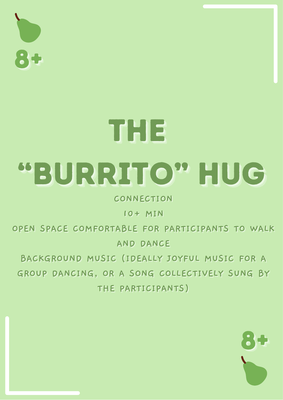

## THE "BURRITO" HUG

CONNECTION

10+ MIN

OPEN SPACE COMFORTABLE FOR PARTICIPANTS TO WALK AND DANCE

BACKGROUND MUSIC (IDEALLY JOYFUL MUSIC FOR A GROUP DANCING, OR A SONG COLLECTIVELY SUNG BY THE PARTICIPANTS)

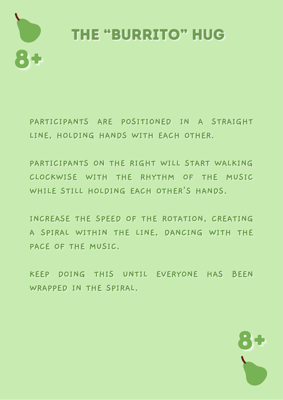

PARTICIPANTS ARE POSITIONED IN A STRAIGHT LINE, HOLDING HANDS WITH EACH OTHER.

PARTICIPANTS ON THE RIGHT WILL START WALKING CLOCKWISE WITH THE RHYTHM OF THE MUSIC WHILE STILL HOLDING EACH OTHER'S HANDS.

INCREASE THE SPEED OF THE ROTATION, CREATING A SPIRAL WITHIN THE LINE, DANCING WITH THE PACE OF THE MUSIC.

KEEP DOING THIS UNTIL EVERYONE HAS BEEN WRAPPED IN THE SPIRAL.

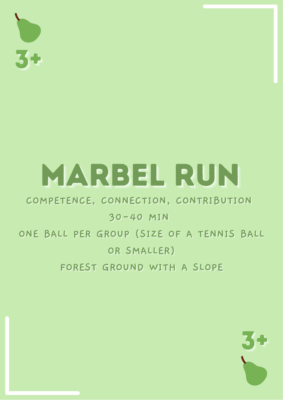## MARBEL RUN

### COMPETENCE, CONNECTION, CONTRIBUTION

### 30-40 MIN ONE BALL PER GROUP (SIZE OF A TENNIS BALL OR SMALLER) FOREST GROUND WITH A SLOPE

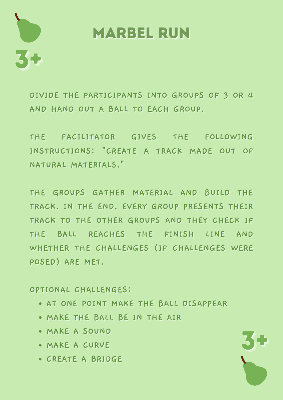

### **MARBEL RUN**

DIVIDE THE PARTICIPANTS INTO GROUPS OF 3 OR 4 AND HAND OUT A BALL TO EACH GROUP.

THE FACILITATOR GIVES THE FOLLOWING INSTRUCTIONS: "CREATE A TRACK MADE OUT OF NATURAL MATERIALS."

THE GROUPS GATHER MATERIAL AND BUILD THE TRACK. IN THE END, EVERY GROUP PRESENTS THEIR TRACK TO THE OTHER GROUPS AND THEY CHECK IF THE BALL REACHES THE FINISH LINE AND WHETHER THE CHALLENGES (IF CHALLENGES WERE POSED) ARE MET.

OPTIONAL CHALLENGES:

- AT ONE POINT MAKE THE BALL DISAPPEAR
- . MAKE THE BALL BE IN THE AIR
- · MAKE A SOUND
- MAKE A CURVE
- CREATE A BRIDGE

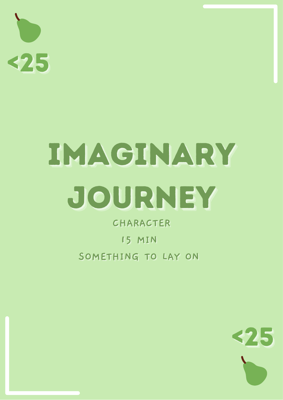<25

## IMAGINARY JOURNEY

CHARACTER **15 MIN** SOMETHING TO LAY ON

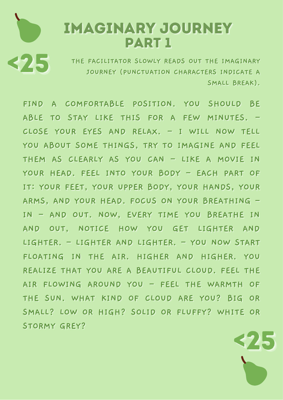### **IMAGINARY JOURNEY PART 1**

325

THE FACILITATOR SLOWLY READS OUT THE IMAGINARY JOURNEY (PUNCTUATION CHARACTERS INDICATE A SMALL BREAK).

FIND A COMFORTABLE POSITION. YOU SHOULD BE ABLE TO STAY LIKE THIS FOR A FEW MINUTES. -CLOSE YOUR EYES AND RELAX. - I WILL NOW TELL YOU ABOUT SOME THINGS, TRY TO IMAGINE AND FEEL THEM AS CLEARLY AS YOU CAN - LIKE A MOVIE IN YOUR HEAD. FEEL INTO YOUR BODY - EACH PART OF IT: YOUR FEET, YOUR UPPER BODY, YOUR HANDS, YOUR ARMS, AND YOUR HEAD. FOCUS ON YOUR BREATHING -IN - AND OUT. NOW, EVERY TIME YOU BREATHE IN AND OUT, NOTICE HOW YOU GET LIGHTER AND LIGHTER. - LIGHTER AND LIGHTER. - YOU NOW START FLOATING IN THE AIR. HIGHER AND HIGHER. YOU REALIZE THAT YOU ARE A BEAUTIFUL CLOUD. FEEL THE AIR FLOWING AROUND YOU - FEEL THE WARMTH OF THE SUN. WHAT KIND OF CLOUD ARE YOU? BIG OR SMALL? LOW OR HIGH? SOLID OR FLUFFY? WHITE OR STORMY GREY?

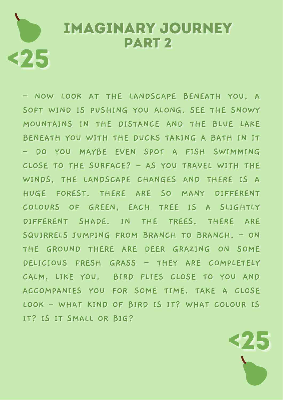### **IMAGINARY JOURNEY PART 2** 325

- NOW LOOK AT THE LANDSCAPE BENEATH YOU, A SOFT WIND IS PUSHING YOU ALONG. SEE THE SNOWY MOUNTAINS IN THE DISTANCE AND THE BLUE LAKE BENEATH YOU WITH THE DUCKS TAKING A BATH IN IT - DO YOU MAYBE EVEN SPOT A FISH SWIMMING CLOSE TO THE SURFACE? - AS YOU TRAVEL WITH THE WINDS, THE LANDSCAPE CHANGES AND THERE IS A HUGE FOREST. THERE ARE SO MANY DIFFERENT COLOURS OF GREEN, EACH TREE IS A SLIGHTLY DIFFERENT SHADE. IN THE TREES, THERE ARE SQUIRRELS JUMPING FROM BRANCH TO BRANCH. - ON THE GROUND THERE ARE DEER GRAZING ON SOME DELICIOUS FRESH GRASS - THEY ARE COMPLETELY CALM, LIKE YOU. BIRD FLIES CLOSE TO YOU AND ACCOMPANIES YOU FOR SOME TIME. TAKE A CLOSE LOOK - WHAT KIND OF BIRD IS IT? WHAT COLOUR IS IT? IS IT SMALL OR BIG?

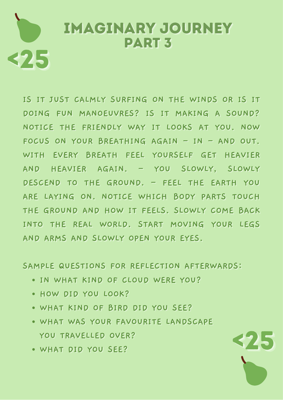### **IMAGINARY JOURNEY PART 3** <25

IS IT JUST CALMLY SURFING ON THE WINDS OR IS IT DOING FUN MANOEUVRES? IS IT MAKING A SOUND? NOTICE THE FRIENDLY WAY IT LOOKS AT YOU. NOW FOCUS ON YOUR BREATHING AGAIN - IN - AND OUT. WITH EVERY BREATH FEEL YOURSELF GET HEAVIER AND HEAVIER AGAIN. - YOU SLOWLY, SLOWLY DESCEND TO THE GROUND. - FEEL THE EARTH YOU ARE LAYING ON. NOTICE WHICH BODY PARTS TOUCH THE GROUND AND HOW IT FEELS. SLOWLY COME BACK INTO THE REAL WORLD. START MOVING YOUR LEGS AND ARMS AND SLOWLY OPEN YOUR EYES.

SAMPLE QUESTIONS FOR REFLECTION AFTERWARDS:

- . IN WHAT KIND OF CLOUD WERE YOU?
- . HOW DID YOU LOOK?
- WHAT KIND OF BIRD DID YOU SEE?
- . WHAT WAS YOUR FAVOURITE LANDSCAPE YOU TRAVELLED OVER?

325

. WHAT DID YOU SEE?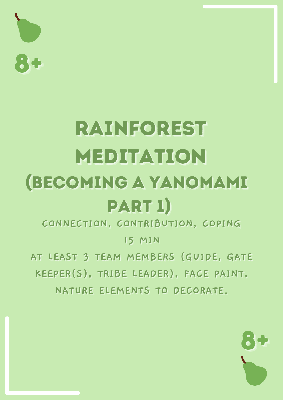

### **RAINFOREST** MEDITATION **(BECOMING A YANOMAMI** PART 1)

CONNECTION, CONTRIBUTION, COPING

**15 MIN** 

AT LEAST 3 TEAM MEMBERS (GUIDE, GATE KEEPER(S), TRIBE LEADER), FACE PAINT, NATURE ELEMENTS TO DECORATE.

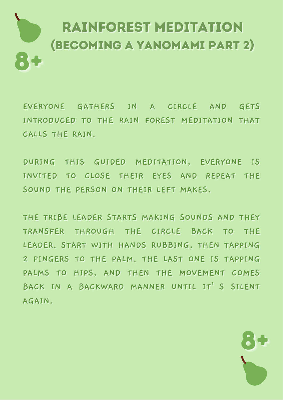## **RAINFOREST MEDITATION** (BECOMING A YANOMAMI PART 2)

EVERYONE GATHERS IN A CIRCLE AND GETS INTRODUCED TO THE RAIN FOREST MEDITATION THAT CALLS THE RAIN.

DURING THIS GUIDED MEDITATION, EVERYONE IS INVITED TO CLOSE THEIR EYES AND REPEAT THE SOUND THE PERSON ON THEIR LEFT MAKES.

THE TRIBE LEADER STARTS MAKING SOUNDS AND THEY TRANSFER THROUGH THE CIRCLE BACK TO THE LEADER. START WITH HANDS RUBBING, THEN TAPPING 2 FINGERS TO THE PALM. THE LAST ONE IS TAPPING PALMS TO HIPS, AND THEN THE MOVEMENT COMES BACK IN A BACKWARD MANNER UNTIL IT'S SILENT AGAIN.

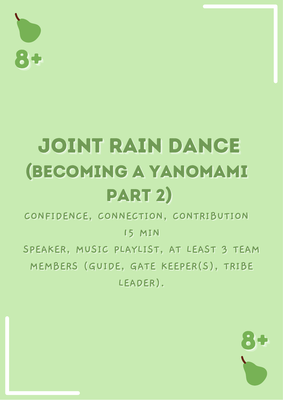

### JOINT RAIN DANCE **(BECOMING A YANOMAMI** PART 2)

CONFIDENCE, CONNECTION, CONTRIBUTION

**15 MIN** 

SPEAKER, MUSIC PLAYLIST, AT LEAST 3 TEAM MEMBERS (GUIDE, GATE KEEPER(S), TRIBE LEADER).

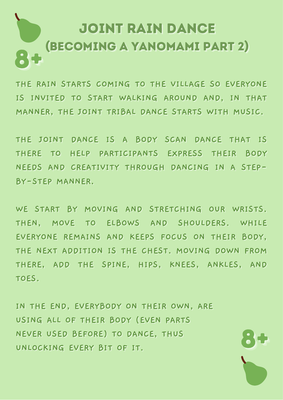### JOINT RAIN DANCE (BECOMING A YANOMAMI PART 2)

THE RAIN STARTS COMING TO THE VILLAGE SO EVERYONE IS INVITED TO START WALKING AROUND AND, IN THAT MANNER. THE JOINT TRIBAL DANCE STARTS WITH MUSIC.

THE JOINT DANCE IS A BODY SCAN DANCE THAT IS THERE TO HELP PARTICIPANTS EXPRESS THEIR BODY NEEDS AND CREATIVITY THROUGH DANCING IN A STEP-BY-STEP MANNER.

WE START BY MOVING AND STRETCHING OUR WRISTS. THEN, MOVE TO ELBOWS AND SHOULDERS. WHILE EVERYONE REMAINS AND KEEPS FOCUS ON THEIR BODY. THE NEXT ADDITION IS THE CHEST. MOVING DOWN FROM THERE, ADD THE SPINE, HIPS, KNEES, ANKLES, AND TOFS.

IN THE END, EVERYBODY ON THEIR OWN, ARE USING ALL OF THEIR BODY (EVEN PARTS NEVER USED BEFORE) TO DANCE, THUS UNLOCKING EVERY BIT OF IT.

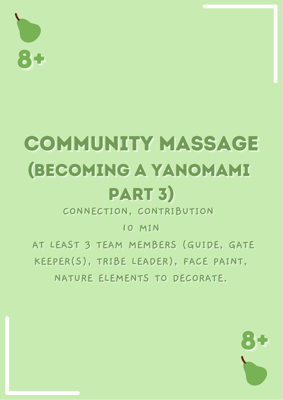$\mathbf{L}$ 

### COMMUNITY MASSAGE **(BECOMING A YANOMAMI** PART 3)

CONNECTION, CONTRIBUTION

10 MIN

AT LEAST 3 TEAM MEMBERS (GUIDE, GATE KEEPER(S), TRIBE LEADER), FACE PAINT,

NATURE ELEMENTS TO DECORATE.

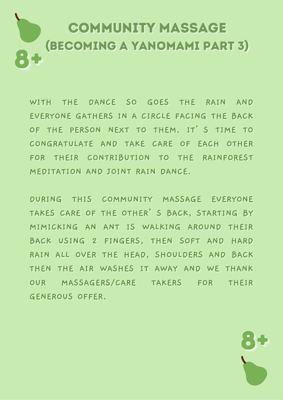### **COMMUNITY MASSAGE** (BECOMING A YANOMAMI PART 3)

WITH THE DANCE SO GOES THE RAIN AND EVERYONE GATHERS IN A CIRCLE FACING THE BACK OF THE PERSON NEXT TO THEM. IT'S TIME TO CONGRATULATE AND TAKE CARE OF EACH OTHER FOR THEIR CONTRIBUTION TO THE RAINFOREST MEDITATION AND JOINT RAIN DANCE.

DURING THIS COMMUNITY MASSAGE EVERYONE TAKES CARE OF THE OTHER'S BACK, STARTING BY MIMICKING AN ANT IS WALKING AROUND THEIR BACK USING 2 FINGERS, THEN SOFT AND HARD RAIN ALL OVER THE HEAD, SHOULDERS AND BACK THEN THE AIR WASHES IT AWAY AND WE THANK OUR MASSAGERS/CARE TAKERS FOR THEIR **GENEROUS OFFER.** 

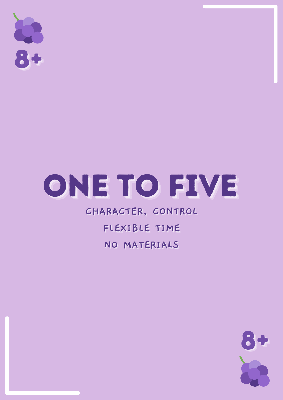

## ONE TO FIVE

#### CHARACTER, CONTROL

### FLEXIBLE TIME NO MATERIALS

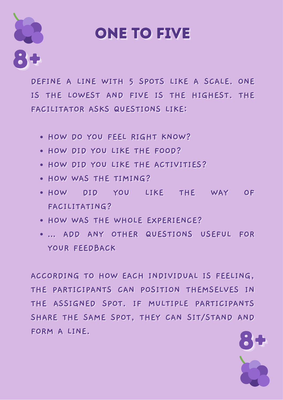

### **ONE TO FIVE**

DEFINE A LINE WITH 5 SPOTS LIKE A SCALE. ONE IS THE LOWEST AND FIVE IS THE HIGHEST. THE FACILITATOR ASKS QUESTIONS LIKE:

- . HOW DO YOU FEEL RIGHT KNOW?
- . HOW DID YOU LIKE THE FOOD?
- . HOW DID YOU LIKE THE ACTIVITIES?
- . HOW WAS THE TIMING?
- . HOW DID YOU LIKE THE WAY OF FACILITATING?
- . HOW WAS THE WHOLE EXPERIENCE?
- ... ADD ANY OTHER QUESTIONS USEFUL FOR YOUR FEEDBACK

ACCORDING TO HOW EACH INDIVIDUAL IS FEELING, THE PARTICIPANTS CAN POSITION THEMSELVES IN THE ASSIGNED SPOT. IF MULTIPLE PARTICIPANTS SHARE THE SAME SPOT, THEY CAN SIT/STAND AND FORM A LINE.

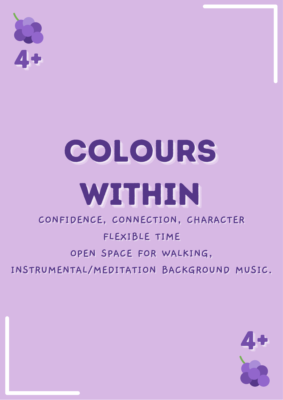

### COLOURS WITHIN

#### CONFIDENCE, CONNECTION, CHARACTER

### FLEXIBLE TIME

#### OPEN SPACE FOR WALKING,

INSTRUMENTAL/MEDITATION BACKGROUND MUSIC.

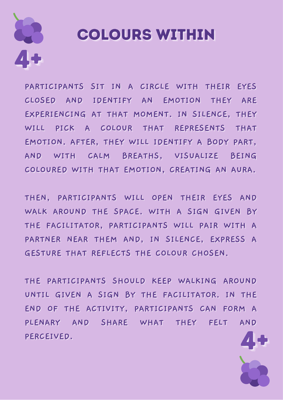

### **COLOURS WITHIN**

PARTICIPANTS SIT IN A CIRCLE WITH THEIR EYES CLOSED AND IDENTIFY AN EMOTION THEY ARE EXPERIENCING AT THAT MOMENT. IN SILENCE, THEY WILL PICK A COLOUR THAT REPRESENTS THAT EMOTION. AFTER, THEY WILL IDENTIFY A BODY PART, AND WITH CALM BREATHS, VISUALIZE BEING COLOURED WITH THAT EMOTION, CREATING AN AURA.

THEN, PARTICIPANTS WILL OPEN THEIR EYES AND WALK AROUND THE SPACE. WITH A SIGN GIVEN BY THE FACILITATOR, PARTICIPANTS WILL PAIR WITH A PARTNER NEAR THEM AND, IN SILENCE, EXPRESS A GESTURE THAT REFLECTS THE COLOUR CHOSEN.

THE PARTICIPANTS SHOULD KEEP WALKING AROUND UNTIL GIVEN A SIGN BY THE FACILITATOR. IN THE END OF THE ACTIVITY, PARTICIPANTS CAN FORM A PLENARY AND SHARE WHAT THEY FELT AND PERCEIVED.

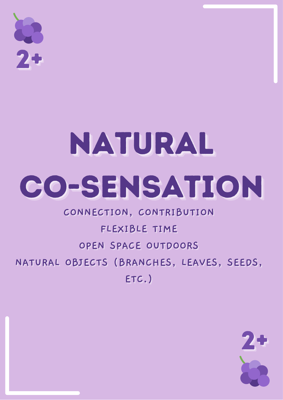2+

# NATURAL CO-SENSATION

CONNECTION, CONTRIBUTION

### FLEXIBLE TIME OPEN SPACE OUTDOORS

NATURAL OBJECTS (BRANCHES, LEAVES, SEEDS,

ETC.)

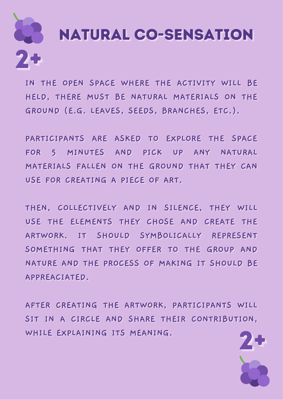

IN THE OPEN SPACE WHERE THE ACTIVITY WILL BE HELD, THERE MUST BE NATURAL MATERIALS ON THE GROUND (E.G. LEAVES, SEEDS, BRANCHES, ETC.).

PARTICIPANTS ARE ASKED TO EXPLORE THE SPACE FOR 5 MINUTES AND PICK UP ANY NATURAL MATERIALS FALLEN ON THE GROUND THAT THEY CAN USE FOR CREATING A PIECE OF ART.

THEN, COLLECTIVELY AND IN SILENCE, THEY WILL USE THE ELEMENTS THEY CHOSE AND CREATE THE ARTWORK. IT SHOULD SYMBOLICALLY REPRESENT SOMETHING THAT THEY OFFER TO THE GROUP AND NATURE AND THE PROCESS OF MAKING IT SHOULD BE APPREACIATED.

AFTER CREATING THE ARTWORK, PARTICIPANTS WILL SIT IN A CIRCLE AND SHARE THEIR CONTRIBUTION, WHILE EXPLAINING ITS MEANING.

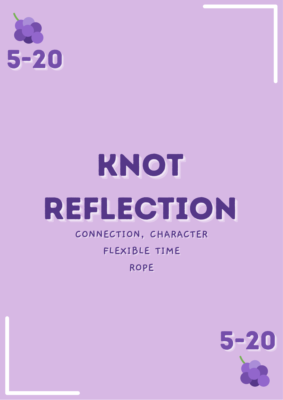

# KNOT REFLECTION

### CONNECTION, CHARACTER FLEXIBLE TIME **ROPE**

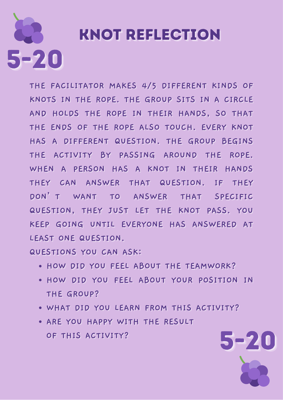# 5-20

### **KNOT REFLECTION**

**THE FACILITATOR MAKES 4/5 DIFFERENT KINDS OF KNOTS IN THE ROPE. THE GROUP SITS IN A CIRCLE** AND HOLDS THE ROPE IN THEIR HANDS, SO THAT **THE ENDS OF THE ROPE ALSO TOUCH. EVERY KNOT HAS A DIFFERENT QUESTION. THE GROUP BEGINS** THE ACTIVITY BY PASSING AROUND THE ROPE. WHEN A PERSON HAS A KNOT IN THEIR HANDS **TTHHEEYY CCAANN AANNSSWWEERR TTHHAATT QQUUEESSTTIIOONN.. IIFF TTHHEEYY** DON'T WANT TO ANSWER THAT SPECIFIC **QUESTION, THEY JUST LET THE KNOT PASS. YOU KEEP GOING UNTIL EVERYONE HAS ANSWERED AT LEAST ONE QUESTION.** 

**QUESTIONS YOU CAN ASK:** 

- **HOW DID YOU FEEL ABOUT THE TEAMWORK?**
- **.** HOW DID YOU FEEL ABOUT YOUR POSITION IN **THE GROUP?**

5-20

- **WHAT DID YOU LEARN FROM THIS ACTIVITY?**
- **ARE YOU HAPPY WITH THE RESULT OF THIS ACTIVITY?**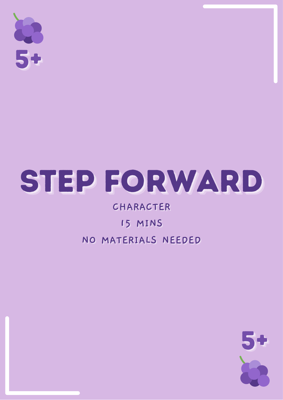5+

### STEP FORWARD

#### CHARACTER

### 15 MINS

### NO MATERIALS NEEDED

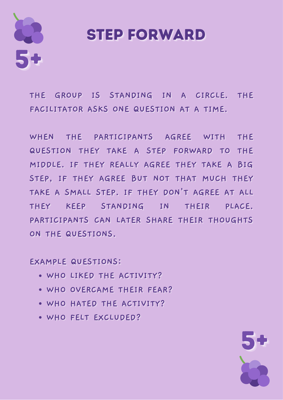

### **STEP FORWARD**

THE GROUP IS STANDING IN A CIRCLE. THE FACILITATOR ASKS ONE QUESTION AT A TIME.

WHEN THE PARTICIPANTS AGREE WITH THE QUESTION THEY TAKE A STEP FORWARD TO THE MIDDLE. IF THEY REALLY AGREE THEY TAKE A BIG STEP, IF THEY AGREE BUT NOT THAT MUCH THEY TAKE A SMALL STEP. IF THEY DON'T AGREE AT ALL THEY KEEP STANDING IN THEIR PLACE. PARTICIPANTS CAN LATER SHARE THEIR THOUGHTS ON THE QUESTIONS.

**EXAMPLE QUESTIONS:** 

- . WHO LIKED THE ACTIVITY?
- WHO OVERCAME THEIR FEAR?
- . WHO HATED THE ACTIVITY?
- WHO FELT EXCLUDED?

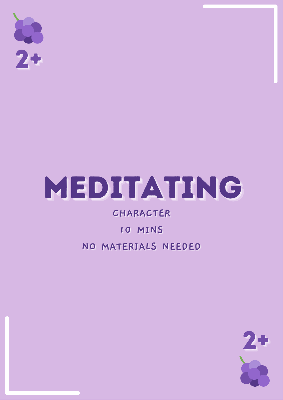$2+$ 

### MEDITATING

CHARACTER 10 MINS NO MATERIALS NEEDED

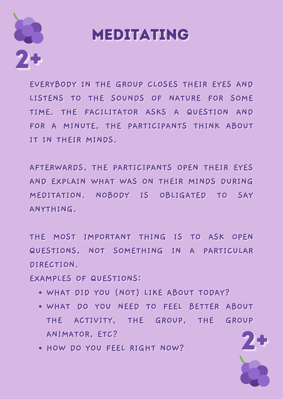

### **MEDITATING**

EVERYBODY IN THE GROUP CLOSES THEIR EYES AND LISTENS TO THE SOUNDS OF NATURE FOR SOME TIME. THE FACILITATOR ASKS A QUESTION AND FOR A MINUTE, THE PARTICIPANTS THINK ABOUT IT IN THEIR MINDS.

AFTERWARDS, THE PARTICIPANTS OPEN THEIR EYES AND EXPLAIN WHAT WAS ON THEIR MINDS DURING MEDITATION, NOBODY IS OBLIGATED TO SAY ANYTHING.

THE MOST IMPORTANT THING IS TO ASK OPEN QUESTIONS, NOT SOMETHING IN A PARTICULAR DIRECTION.

**EXAMPLES OF QUESTIONS:** 

- . WHAT DID YOU (NOT) LIKE ABOUT TODAY?
- . WHAT DO YOU NEED TO FEEL BETTER ABOUT THE ACTIVITY, THE GROUP, THE GROUP ANIMATOR, ETC?
- . HOW DO YOU FEEL RIGHT NOW?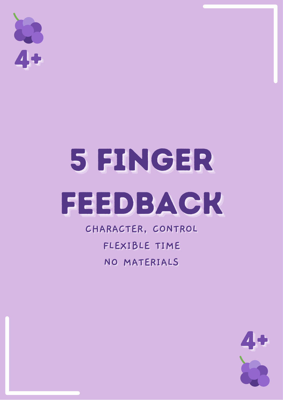

## 5 FINGER FEEDBACK

CHARACTER, CONTROL FLEXIBLE TIME NO MATERIALS

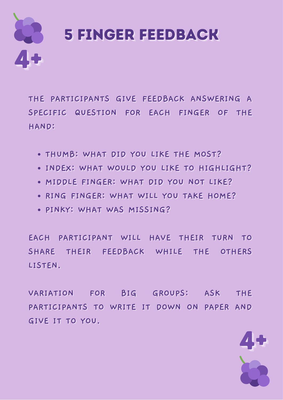

THE PARTICIPANTS GIVE FEEDBACK ANSWERING A SPECIFIC QUESTION FOR EACH FINGER OF THE HAND:

- . THUMB: WHAT DID YOU LIKE THE MOST?
- . INDEX: WHAT WOULD YOU LIKE TO HIGHLIGHT?
- . MIDDLE FINGER: WHAT DID YOU NOT LIKE?
- . RING FINGER: WHAT WILL YOU TAKE HOME?
- . PINKY: WHAT WAS MISSING?

EACH PARTICIPANT WILL HAVE THEIR TURN **TO** SHARE THEIR FEEDBACK WHILE THE OTHERS LISTEN.

VARIATION FOR BIG GROUPS: ASK **THE** PARTICIPANTS TO WRITE IT DOWN ON PAPER AND GIVE IT TO YOU.

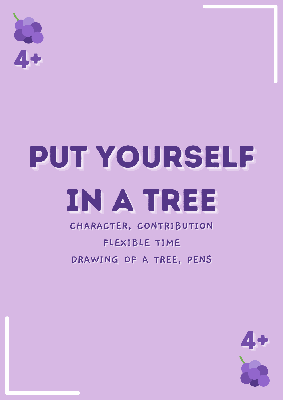# PUT YOURSELF IN A TREE

### CHARACTER, CONTRIBUTION FLEXIBLE TIME DRAWING OF A TREE, PENS